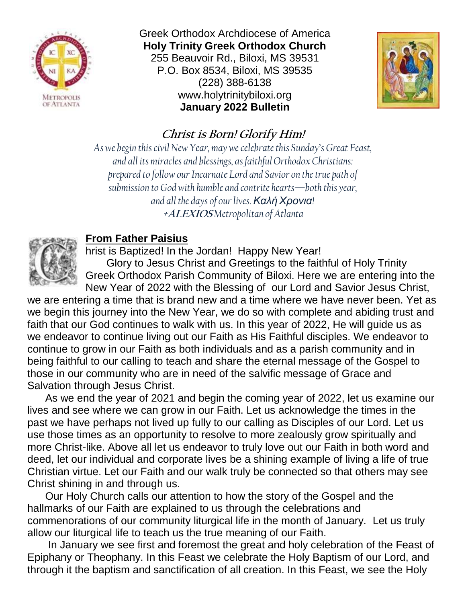

Greek Orthodox Archdiocese of America **Holy Trinity Greek Orthodox Church** 255 Beauvoir Rd., Biloxi, MS 39531 P.O. Box 8534, Biloxi, MS 39535 (228) 388-6138 www.holytrinitybiloxi.org **January 2022 Bulletin**



# **Christ is Born! Glorify Him!**

*As we begin this civil New Year, may we celebrate this Sunday's Great Feast, and all its miracles and blessings, as faithful Orthodox Christians: prepared to follow our Incarnate Lord and Savior on the true path of submission to God with humble and contrite hearts—both this year, and all the days of our lives. ΚαλήΧρονια!* **+ALEXIOS** *Metropolitan of Atlanta*



# **From Father Paisius**

hrist is Baptized! In the Jordan! Happy New Year! Glory to Jesus Christ and Greetings to the faithful of Holy Trinity Greek Orthodox Parish Community of Biloxi. Here we are entering into the New Year of 2022 with the Blessing of our Lord and Savior Jesus Christ,

we are entering a time that is brand new and a time where we have never been. Yet as we begin this journey into the New Year, we do so with complete and abiding trust and faith that our God continues to walk with us. In this year of 2022, He will guide us as we endeavor to continue living out our Faith as His Faithful disciples. We endeavor to continue to grow in our Faith as both individuals and as a parish community and in being faithful to our calling to teach and share the eternal message of the Gospel to those in our community who are in need of the salvific message of Grace and Salvation through Jesus Christ.

As we end the year of 2021 and begin the coming year of 2022, let us examine our lives and see where we can grow in our Faith. Let us acknowledge the times in the past we have perhaps not lived up fully to our calling as Disciples of our Lord. Let us use those times as an opportunity to resolve to more zealously grow spiritually and more Christ-like. Above all let us endeavor to truly love out our Faith in both word and deed, let our individual and corporate lives be a shining example of living a life of true Christian virtue. Let our Faith and our walk truly be connected so that others may see Christ shining in and through us.

Our Holy Church calls our attention to how the story of the Gospel and the hallmarks of our Faith are explained to us through the celebrations and commenorations of our community liturgical life in the month of January. Let us truly allow our liturgical life to teach us the true meaning of our Faith.

In January we see first and foremost the great and holy celebration of the Feast of Epiphany or Theophany. In this Feast we celebrate the Holy Baptism of our Lord, and through it the baptism and sanctification of all creation. In this Feast, we see the Holy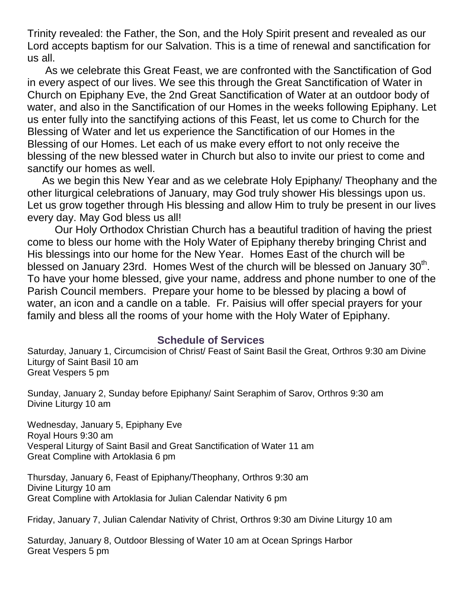Trinity revealed: the Father, the Son, and the Holy Spirit present and revealed as our Lord accepts baptism for our Salvation. This is a time of renewal and sanctification for us all.

As we celebrate this Great Feast, we are confronted with the Sanctification of God in every aspect of our lives. We see this through the Great Sanctification of Water in Church on Epiphany Eve, the 2nd Great Sanctification of Water at an outdoor body of water, and also in the Sanctification of our Homes in the weeks following Epiphany. Let us enter fully into the sanctifying actions of this Feast, let us come to Church for the Blessing of Water and let us experience the Sanctification of our Homes in the Blessing of our Homes. Let each of us make every effort to not only receive the blessing of the new blessed water in Church but also to invite our priest to come and sanctify our homes as well.

As we begin this New Year and as we celebrate Holy Epiphany/ Theophany and the other liturgical celebrations of January, may God truly shower His blessings upon us. Let us grow together through His blessing and allow Him to truly be present in our lives every day. May God bless us all!

Our Holy Orthodox Christian Church has a beautiful tradition of having the priest come to bless our home with the Holy Water of Epiphany thereby bringing Christ and His blessings into our home for the New Year. Homes East of the church will be blessed on January 23rd. Homes West of the church will be blessed on January  $30<sup>th</sup>$ . To have your home blessed, give your name, address and phone number to one of the Parish Council members. Prepare your home to be blessed by placing a bowl of water, an icon and a candle on a table. Fr. Paisius will offer special prayers for your family and bless all the rooms of your home with the Holy Water of Epiphany.

#### **Schedule of Services**

Saturday, January 1, Circumcision of Christ/ Feast of Saint Basil the Great, Orthros 9:30 am Divine Liturgy of Saint Basil 10 am Great Vespers 5 pm

Sunday, January 2, Sunday before Epiphany/ Saint Seraphim of Sarov, Orthros 9:30 am Divine Liturgy 10 am

Wednesday, January 5, Epiphany Eve Royal Hours 9:30 am Vesperal Liturgy of Saint Basil and Great Sanctification of Water 11 am Great Compline with Artoklasia 6 pm

Thursday, January 6, Feast of Epiphany/Theophany, Orthros 9:30 am Divine Liturgy 10 am Great Compline with Artoklasia for Julian Calendar Nativity 6 pm

Friday, January 7, Julian Calendar Nativity of Christ, Orthros 9:30 am Divine Liturgy 10 am

Saturday, January 8, Outdoor Blessing of Water 10 am at Ocean Springs Harbor Great Vespers 5 pm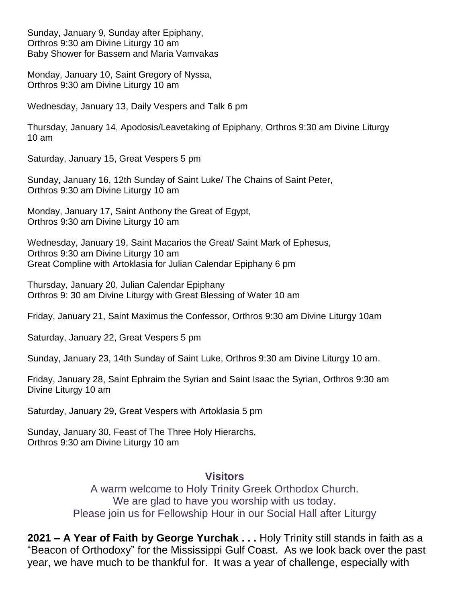Sunday, January 9, Sunday after Epiphany, Orthros 9:30 am Divine Liturgy 10 am Baby Shower for Bassem and Maria Vamvakas

Monday, January 10, Saint Gregory of Nyssa, Orthros 9:30 am Divine Liturgy 10 am

Wednesday, January 13, Daily Vespers and Talk 6 pm

Thursday, January 14, Apodosis/Leavetaking of Epiphany, Orthros 9:30 am Divine Liturgy 10 am

Saturday, January 15, Great Vespers 5 pm

Sunday, January 16, 12th Sunday of Saint Luke/ The Chains of Saint Peter, Orthros 9:30 am Divine Liturgy 10 am

Monday, January 17, Saint Anthony the Great of Egypt, Orthros 9:30 am Divine Liturgy 10 am

Wednesday, January 19, Saint Macarios the Great/ Saint Mark of Ephesus, Orthros 9:30 am Divine Liturgy 10 am Great Compline with Artoklasia for Julian Calendar Epiphany 6 pm

Thursday, January 20, Julian Calendar Epiphany Orthros 9: 30 am Divine Liturgy with Great Blessing of Water 10 am

Friday, January 21, Saint Maximus the Confessor, Orthros 9:30 am Divine Liturgy 10am

Saturday, January 22, Great Vespers 5 pm

Sunday, January 23, 14th Sunday of Saint Luke, Orthros 9:30 am Divine Liturgy 10 am.

Friday, January 28, Saint Ephraim the Syrian and Saint Isaac the Syrian, Orthros 9:30 am Divine Liturgy 10 am

Saturday, January 29, Great Vespers with Artoklasia 5 pm

Sunday, January 30, Feast of The Three Holy Hierarchs, Orthros 9:30 am Divine Liturgy 10 am

#### **Visitors**

A warm welcome to Holy Trinity Greek Orthodox Church. We are glad to have you worship with us today. Please join us for Fellowship Hour in our Social Hall after Liturgy

**2021 – A Year of Faith by George Yurchak . . .** Holy Trinity still stands in faith as a "Beacon of Orthodoxy" for the Mississippi Gulf Coast. As we look back over the past year, we have much to be thankful for. It was a year of challenge, especially with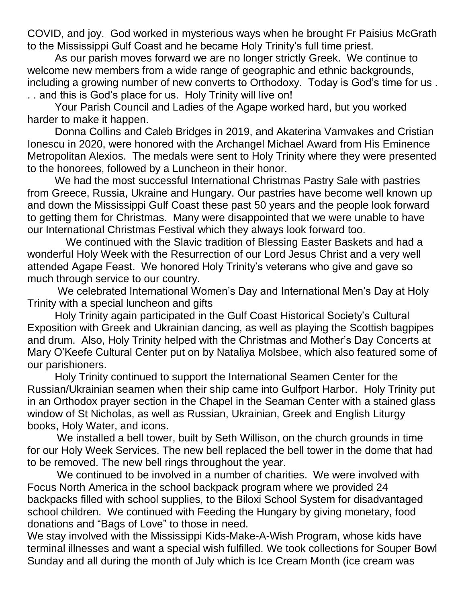COVID, and joy. God worked in mysterious ways when he brought Fr Paisius McGrath to the Mississippi Gulf Coast and he became Holy Trinity's full time priest.

As our parish moves forward we are no longer strictly Greek. We continue to welcome new members from a wide range of geographic and ethnic backgrounds, including a growing number of new converts to Orthodoxy. Today is God's time for us . . . and this is God's place for us. Holy Trinity will live on!

Your Parish Council and Ladies of the Agape worked hard, but you worked harder to make it happen.

Donna Collins and Caleb Bridges in 2019, and Akaterina Vamvakes and Cristian Ionescu in 2020, were honored with the Archangel Michael Award from His Eminence Metropolitan Alexios. The medals were sent to Holy Trinity where they were presented to the honorees, followed by a Luncheon in their honor.

We had the most successful International Christmas Pastry Sale with pastries from Greece, Russia, Ukraine and Hungary. Our pastries have become well known up and down the Mississippi Gulf Coast these past 50 years and the people look forward to getting them for Christmas. Many were disappointed that we were unable to have our International Christmas Festival which they always look forward too.

 We continued with the Slavic tradition of Blessing Easter Baskets and had a wonderful Holy Week with the Resurrection of our Lord Jesus Christ and a very well attended Agape Feast. We honored Holy Trinity's veterans who give and gave so much through service to our country.

We celebrated International Women's Day and International Men's Day at Holy Trinity with a special luncheon and gifts

Holy Trinity again participated in the Gulf Coast Historical Society's Cultural Exposition with Greek and Ukrainian dancing, as well as playing the Scottish bagpipes and drum. Also, Holy Trinity helped with the Christmas and Mother's Day Concerts at Mary O'Keefe Cultural Center put on by Nataliya Molsbee, which also featured some of our parishioners.

Holy Trinity continued to support the International Seamen Center for the Russian/Ukrainian seamen when their ship came into Gulfport Harbor. Holy Trinity put in an Orthodox prayer section in the Chapel in the Seaman Center with a stained glass window of St Nicholas, as well as Russian, Ukrainian, Greek and English Liturgy books, Holy Water, and icons.

 We installed a bell tower, built by Seth Willison, on the church grounds in time for our Holy Week Services. The new bell replaced the bell tower in the dome that had to be removed. The new bell rings throughout the year.

 We continued to be involved in a number of charities. We were involved with Focus North America in the school backpack program where we provided 24 backpacks filled with school supplies, to the Biloxi School System for disadvantaged school children. We continued with Feeding the Hungary by giving monetary, food donations and "Bags of Love" to those in need.

We stay involved with the Mississippi Kids-Make-A-Wish Program, whose kids have terminal illnesses and want a special wish fulfilled. We took collections for Souper Bowl Sunday and all during the month of July which is Ice Cream Month (ice cream was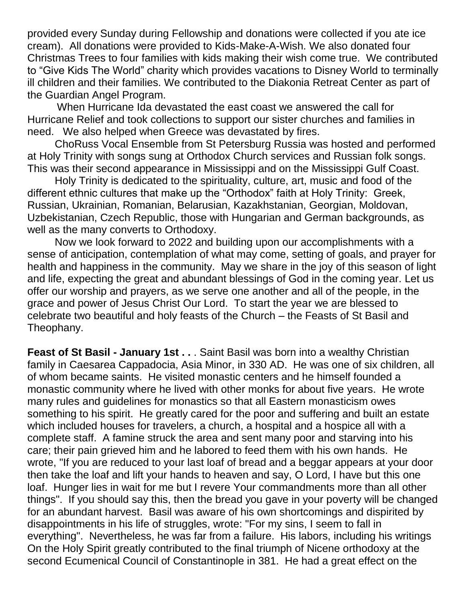provided every Sunday during Fellowship and donations were collected if you ate ice cream). All donations were provided to Kids-Make-A-Wish. We also donated four Christmas Trees to four families with kids making their wish come true. We contributed to "Give Kids The World" charity which provides vacations to Disney World to terminally ill children and their families. We contributed to the Diakonia Retreat Center as part of the Guardian Angel Program.

 When Hurricane Ida devastated the east coast we answered the call for Hurricane Relief and took collections to support our sister churches and families in need. We also helped when Greece was devastated by fires.

ChoRuss Vocal Ensemble from St Petersburg Russia was hosted and performed at Holy Trinity with songs sung at Orthodox Church services and Russian folk songs. This was their second appearance in Mississippi and on the Mississippi Gulf Coast.

Holy Trinity is dedicated to the spirituality, culture, art, music and food of the different ethnic cultures that make up the "Orthodox" faith at Holy Trinity: Greek, Russian, Ukrainian, Romanian, Belarusian, Kazakhstanian, Georgian, Moldovan, Uzbekistanian, Czech Republic, those with Hungarian and German backgrounds, as well as the many converts to Orthodoxy.

Now we look forward to 2022 and building upon our accomplishments with a sense of anticipation, contemplation of what may come, setting of goals, and prayer for health and happiness in the community. May we share in the joy of this season of light and life, expecting the great and abundant blessings of God in the coming year. Let us offer our worship and prayers, as we serve one another and all of the people, in the grace and power of Jesus Christ Our Lord. To start the year we are blessed to celebrate two beautiful and holy feasts of the Church – the Feasts of St Basil and Theophany.

**Feast of St Basil - January 1st . .** . Saint Basil was born into a wealthy Christian family in Caesarea Cappadocia, Asia Minor, in 330 AD. He was one of six children, all of whom became saints. He visited monastic centers and he himself founded a monastic community where he lived with other monks for about five years. He wrote many rules and guidelines for monastics so that all Eastern monasticism owes something to his spirit. He greatly cared for the poor and suffering and built an estate which included houses for travelers, a church, a hospital and a hospice all with a complete staff. A famine struck the area and sent many poor and starving into his care; their pain grieved him and he labored to feed them with his own hands. He wrote, "If you are reduced to your last loaf of bread and a beggar appears at your door then take the loaf and lift your hands to heaven and say, O Lord, I have but this one loaf. Hunger lies in wait for me but I revere Your commandments more than all other things". If you should say this, then the bread you gave in your poverty will be changed for an abundant harvest. Basil was aware of his own shortcomings and dispirited by disappointments in his life of struggles, wrote: "For my sins, I seem to fall in everything". Nevertheless, he was far from a failure. His labors, including his writings On the Holy Spirit greatly contributed to the final triumph of Nicene orthodoxy at the second Ecumenical Council of Constantinople in 381. He had a great effect on the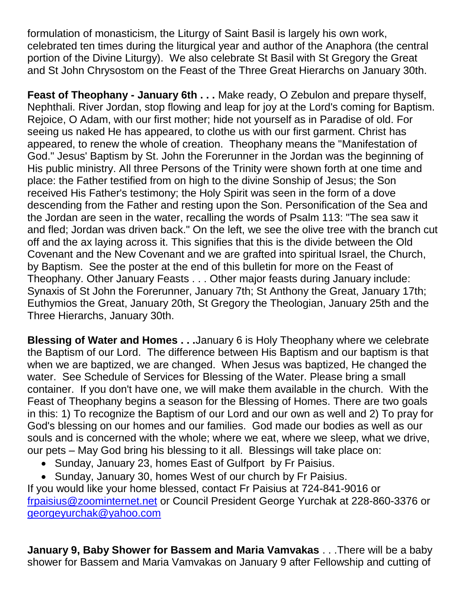formulation of monasticism, the Liturgy of Saint Basil is largely his own work, celebrated ten times during the liturgical year and author of the Anaphora (the central portion of the Divine Liturgy). We also celebrate St Basil with St Gregory the Great and St John Chrysostom on the Feast of the Three Great Hierarchs on January 30th.

**Feast of Theophany - January 6th . . .** Make ready, O Zebulon and prepare thyself, Nephthali. River Jordan, stop flowing and leap for joy at the Lord's coming for Baptism. Rejoice, O Adam, with our first mother; hide not yourself as in Paradise of old. For seeing us naked He has appeared, to clothe us with our first garment. Christ has appeared, to renew the whole of creation. Theophany means the "Manifestation of God." Jesus' Baptism by St. John the Forerunner in the Jordan was the beginning of His public ministry. All three Persons of the Trinity were shown forth at one time and place: the Father testified from on high to the divine Sonship of Jesus; the Son received His Father's testimony; the Holy Spirit was seen in the form of a dove descending from the Father and resting upon the Son. Personification of the Sea and the Jordan are seen in the water, recalling the words of Psalm 113: "The sea saw it and fled; Jordan was driven back." On the left, we see the olive tree with the branch cut off and the ax laying across it. This signifies that this is the divide between the Old Covenant and the New Covenant and we are grafted into spiritual Israel, the Church, by Baptism. See the poster at the end of this bulletin for more on the Feast of Theophany. Other January Feasts . . . Other major feasts during January include: Synaxis of St John the Forerunner, January 7th; St Anthony the Great, January 17th; Euthymios the Great, January 20th, St Gregory the Theologian, January 25th and the Three Hierarchs, January 30th.

**Blessing of Water and Homes . . .**January 6 is Holy Theophany where we celebrate the Baptism of our Lord. The difference between His Baptism and our baptism is that when we are baptized, we are changed. When Jesus was baptized, He changed the water. See Schedule of Services for Blessing of the Water. Please bring a small container. If you don't have one, we will make them available in the church. With the Feast of Theophany begins a season for the Blessing of Homes. There are two goals in this: 1) To recognize the Baptism of our Lord and our own as well and 2) To pray for God's blessing on our homes and our families. God made our bodies as well as our souls and is concerned with the whole; where we eat, where we sleep, what we drive, our pets – May God bring his blessing to it all. Blessings will take place on:

- Sunday, January 23, homes East of Gulfport by Fr Paisius.
- Sunday, January 30, homes West of our church by Fr Paisius.

If you would like your home blessed, contact Fr Paisius at 724-841-9016 or [frpaisius@zoominternet.net](mailto:frpaisius@zoominternet.net) or Council President George Yurchak at 228-860-3376 or [georgeyurchak@yahoo.com](mailto:georgeyurchak@yahoo.com)

**January 9, Baby Shower for Bassem and Maria Vamvakas** . . .There will be a baby shower for Bassem and Maria Vamvakas on January 9 after Fellowship and cutting of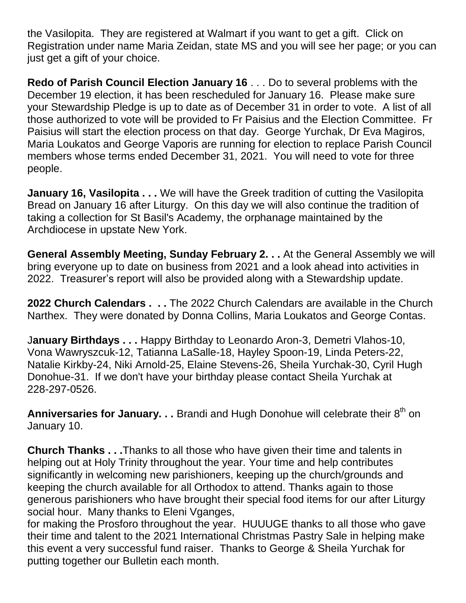the Vasilopita. They are registered at Walmart if you want to get a gift. Click on Registration under name Maria Zeidan, state MS and you will see her page; or you can just get a gift of your choice.

**Redo of Parish Council Election January 16** . . . Do to several problems with the December 19 election, it has been rescheduled for January 16. Please make sure your Stewardship Pledge is up to date as of December 31 in order to vote. A list of all those authorized to vote will be provided to Fr Paisius and the Election Committee. Fr Paisius will start the election process on that day. George Yurchak, Dr Eva Magiros, Maria Loukatos and George Vaporis are running for election to replace Parish Council members whose terms ended December 31, 2021. You will need to vote for three people.

**January 16, Vasilopita ...** We will have the Greek tradition of cutting the Vasilopita Bread on January 16 after Liturgy. On this day we will also continue the tradition of taking a collection for St Basil's Academy, the orphanage maintained by the Archdiocese in upstate New York.

**General Assembly Meeting, Sunday February 2. . .** At the General Assembly we will bring everyone up to date on business from 2021 and a look ahead into activities in 2022. Treasurer's report will also be provided along with a Stewardship update.

**2022 Church Calendars . . .** The 2022 Church Calendars are available in the Church Narthex. They were donated by Donna Collins, Maria Loukatos and George Contas.

J**anuary Birthdays . . .** Happy Birthday to Leonardo Aron-3, Demetri Vlahos-10, Vona Wawryszcuk-12, Tatianna LaSalle-18, Hayley Spoon-19, Linda Peters-22, Natalie Kirkby-24, Niki Arnold-25, Elaine Stevens-26, Sheila Yurchak-30, Cyril Hugh Donohue-31. If we don't have your birthday please contact Sheila Yurchak at 228-297-0526.

Anniversaries for January. . . Brandi and Hugh Donohue will celebrate their 8<sup>th</sup> on January 10.

**Church Thanks . . .**Thanks to all those who have given their time and talents in helping out at Holy Trinity throughout the year. Your time and help contributes significantly in welcoming new parishioners, keeping up the church/grounds and keeping the church available for all Orthodox to attend. Thanks again to those generous parishioners who have brought their special food items for our after Liturgy social hour. Many thanks to Eleni Vganges,

for making the Prosforo throughout the year. HUUUGE thanks to all those who gave their time and talent to the 2021 International Christmas Pastry Sale in helping make this event a very successful fund raiser. Thanks to George & Sheila Yurchak for putting together our Bulletin each month.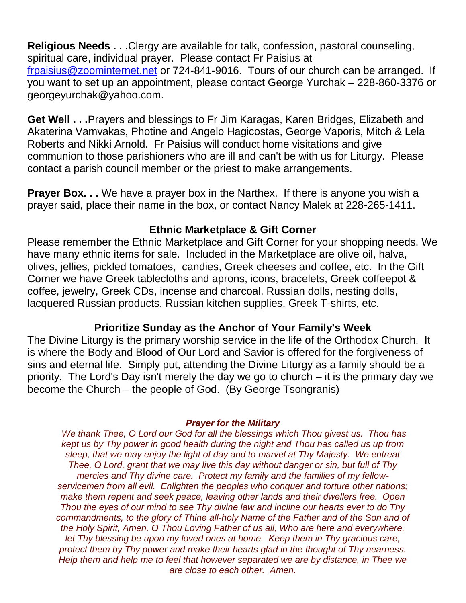**Religious Needs . . .**Clergy are available for talk, confession, pastoral counseling, spiritual care, individual prayer. Please contact Fr Paisius at

[frpaisius@zoominternet.net](mailto:frpaisius@zoominternet.net) or 724-841-9016. Tours of our church can be arranged. If you want to set up an appointment, please contact George Yurchak – 228-860-3376 or georgeyurchak@yahoo.com.

**Get Well . . .**Prayers and blessings to Fr Jim Karagas, Karen Bridges, Elizabeth and Akaterina Vamvakas, Photine and Angelo Hagicostas, George Vaporis, Mitch & Lela Roberts and Nikki Arnold. Fr Paisius will conduct home visitations and give communion to those parishioners who are ill and can't be with us for Liturgy. Please contact a parish council member or the priest to make arrangements.

**Prayer Box...** We have a prayer box in the Narthex. If there is anyone you wish a prayer said, place their name in the box, or contact Nancy Malek at 228-265-1411.

# **Ethnic Marketplace & Gift Corner**

Please remember the Ethnic Marketplace and Gift Corner for your shopping needs. We have many ethnic items for sale. Included in the Marketplace are olive oil, halva, olives, jellies, pickled tomatoes, candies, Greek cheeses and coffee, etc. In the Gift Corner we have Greek tablecloths and aprons, icons, bracelets, Greek coffeepot & coffee, jewelry, Greek CDs, incense and charcoal, Russian dolls, nesting dolls, lacquered Russian products, Russian kitchen supplies, Greek T-shirts, etc.

### **Prioritize Sunday as the Anchor of Your Family's Week**

The Divine Liturgy is the primary worship service in the life of the Orthodox Church. It is where the Body and Blood of Our Lord and Savior is offered for the forgiveness of sins and eternal life. Simply put, attending the Divine Liturgy as a family should be a priority. The Lord's Day isn't merely the day we go to church – it is the primary day we become the Church – the people of God. (By George Tsongranis)

#### *Prayer for the Military*

*We thank Thee, O Lord our God for all the blessings which Thou givest us. Thou has kept us by Thy power in good health during the night and Thou has called us up from sleep, that we may enjoy the light of day and to marvel at Thy Majesty. We entreat Thee, O Lord, grant that we may live this day without danger or sin, but full of Thy mercies and Thy divine care. Protect my family and the families of my fellowservicemen from all evil. Enlighten the peoples who conquer and torture other nations; make them repent and seek peace, leaving other lands and their dwellers free. Open Thou the eyes of our mind to see Thy divine law and incline our hearts ever to do Thy commandments, to the glory of Thine all-holy Name of the Father and of the Son and of the Holy Spirit, Amen. O Thou Loving Father of us all, Who are here and everywhere, let Thy blessing be upon my loved ones at home. Keep them in Thy gracious care, protect them by Thy power and make their hearts glad in the thought of Thy nearness. Help them and help me to feel that however separated we are by distance, in Thee we are close to each other. Amen.*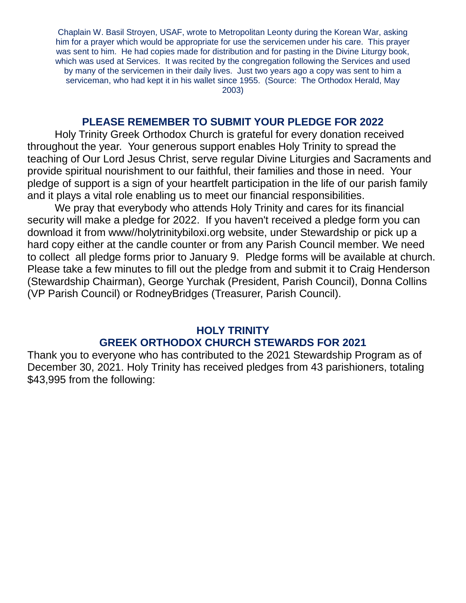Chaplain W. Basil Stroyen, USAF, wrote to Metropolitan Leonty during the Korean War, asking him for a prayer which would be appropriate for use the servicemen under his care. This prayer was sent to him. He had copies made for distribution and for pasting in the Divine Liturgy book, which was used at Services. It was recited by the congregation following the Services and used by many of the servicemen in their daily lives. Just two years ago a copy was sent to him a serviceman, who had kept it in his wallet since 1955. (Source: The Orthodox Herald, May 2003)

#### **PLEASE REMEMBER TO SUBMIT YOUR PLEDGE FOR 2022**

Holy Trinity Greek Orthodox Church is grateful for every donation received throughout the year. Your generous support enables Holy Trinity to spread the teaching of Our Lord Jesus Christ, serve regular Divine Liturgies and Sacraments and provide spiritual nourishment to our faithful, their families and those in need. Your pledge of support is a sign of your heartfelt participation in the life of our parish family and it plays a vital role enabling us to meet our financial responsibilities.

We pray that everybody who attends Holy Trinity and cares for its financial security will make a pledge for 2022. If you haven't received a pledge form you can download it from www//holytrinitybiloxi.org website, under Stewardship or pick up a hard copy either at the candle counter or from any Parish Council member. We need to collect all pledge forms prior to January 9. Pledge forms will be available at church. Please take a few minutes to fill out the pledge from and submit it to Craig Henderson (Stewardship Chairman), George Yurchak (President, Parish Council), Donna Collins (VP Parish Council) or RodneyBridges (Treasurer, Parish Council).

# **HOLY TRINITY GREEK ORTHODOX CHURCH STEWARDS FOR 2021**

Thank you to everyone who has contributed to the 2021 Stewardship Program as of December 30, 2021. Holy Trinity has received pledges from 43 parishioners, totaling \$43,995 from the following: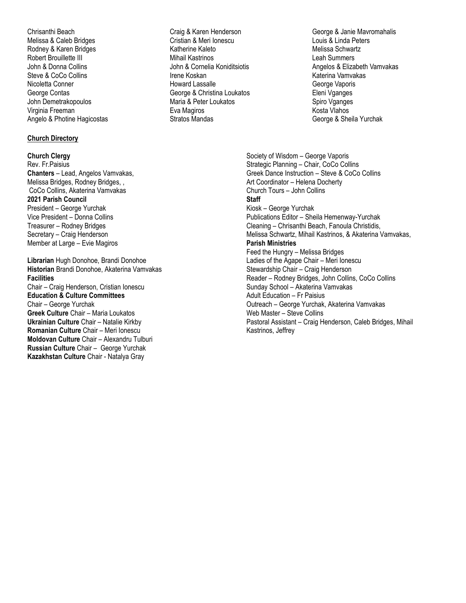Chrisanthi Beach Melissa & Caleb Bridges Rodney & Karen Bridges Robert Brouillette III John & Donna Collins Steve & CoCo Collins Nicoletta Conner George Contas John Demetrakopoulos Virginia Freeman Angelo & Photine Hagicostas

#### **Church Directory**

**Church Clergy** Rev. Fr.Paisius **Chanters** – Lead, Angelos Vamvakas, Melissa Bridges, Rodney Bridges, , CoCo Collins, Akaterina Vamvakas **2021 Parish Council** President – George Yurchak Vice President – Donna Collins Treasurer – Rodney Bridges Secretary – Craig Henderson Member at Large – Evie Magiros

**Librarian** Hugh Donohoe, Brandi Donohoe **Historian** Brandi Donohoe, Akaterina Vamvakas **Facilities** Chair – Craig Henderson, Cristian Ionescu **Education & Culture Committees** Chair – George Yurchak **Greek Culture** Chair – Maria Loukatos **Ukrainian Culture** Chair – Natalie Kirkby **Romanian Culture** Chair – Meri Ionescu **Moldovan Culture** Chair – Alexandru Tulburi **Russian Culture** Chair – George Yurchak **Kazakhstan Culture** Chair - Natalya Gray

- Craig & Karen Henderson Cristian & Meri Ionescu Katherine Kaleto Mihail Kastrinos John & Cornelia Koniditsiotis Irene Koskan Howard Lassalle George & Christina Loukatos Maria & Peter Loukatos Eva Magiros Stratos Mandas
- George & Janie Mavromahalis Louis & Linda Peters Melissa Schwartz Leah Summers Angelos & Elizabeth Vamvakas Katerina Vamvakas George Vaporis Eleni Vganges Spiro Vganges Kosta Vlahos George & Sheila Yurchak

Society of Wisdom – George Vaporis Strategic Planning – Chair, CoCo Collins Greek Dance Instruction – Steve & CoCo Collins Art Coordinator – Helena Docherty Church Tours – John Collins **Staff** Kiosk – George Yurchak Publications Editor – Sheila Hemenway-Yurchak Cleaning – Chrisanthi Beach, Fanoula Christidis, Melissa Schwartz, Mihail Kastrinos, & Akaterina Vamvakas, **Parish Ministries** Feed the Hungry – Melissa Bridges Ladies of the Agape Chair – Meri Ionescu Stewardship Chair – Craig Henderson Reader – Rodney Bridges, John Collins, CoCo Collins Sunday School – Akaterina Vamvakas Adult Education – Fr Paisius Outreach – George Yurchak, Akaterina Vamvakas Web Master – Steve Collins Pastoral Assistant – Craig Henderson, Caleb Bridges, Mihail Kastrinos, Jeffrey